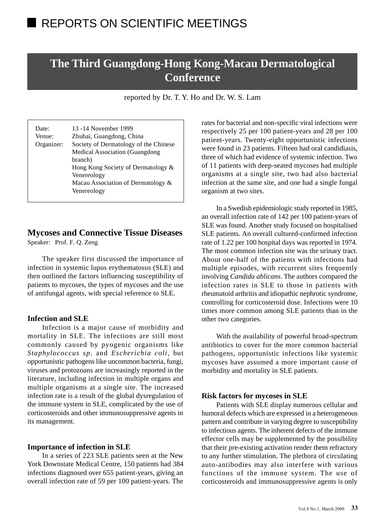# **The Third Guangdong-Hong Kong-Macau Dermatological Conference**

reported by Dr. T. Y. Ho and Dr. W. S. Lam

| Date:      | 13 -14 November 1999                  |  |
|------------|---------------------------------------|--|
| Venue:     | Zhuhai, Guangdong, China              |  |
| Organizer: | Society of Dermatology of the Chinese |  |
|            | <b>Medical Association (Guangdong</b> |  |
|            | branch)                               |  |
|            | Hong Kong Society of Dermatology &    |  |
|            | Venereology                           |  |
|            | Macau Association of Dermatology &    |  |
|            | Venereology                           |  |
|            |                                       |  |

# **Mycoses and Connective Tissue Diseases**

Speaker: Prof. F. Q. Zeng

The speaker first discussed the importance of infection in systemic lupus erythematosus (SLE) and then outlined the factors influencing susceptibility of patients to mycoses, the types of mycoses and the use of antifungal agents, with special reference to SLE.

#### **Infection and SLE**

Infection is a major cause of morbidity and mortality in SLE. The infections are still most commonly caused by pyogenic organisms like *Staphylococcus sp.* and *Escherichia coli*, but opportunistic pathogens like uncommon bacteria, fungi, viruses and protozoans are increasingly reported in the literature, including infection in multiple organs and multiple organisms at a single site. The increased infection rate is a result of the global dysregulation of the immune system in SLE, complicated by the use of corticosteroids and other immunosuppressive agents in its management.

#### **Importance of infection in SLE**

In a series of 223 SLE patients seen at the New York Downstate Medical Centre, 150 patients had 384 infections diagnosed over 655 patient-years, giving an overall infection rate of 59 per 100 patient-years. The rates for bacterial and non-specific viral infections were respectively 25 per 100 patient-years and 28 per 100 patient-years. Twenty-eight opportunistic infections were found in 23 patients. Fifteen had oral candidiasis, three of which had evidence of systemic infection. Two of 11 patients with deep-seated mycoses had multiple organisms at a single site, two had also bacterial infection at the same site, and one had a single fungal organism at two sites.

In a Swedish epidemiologic study reported in 1985, an overall infection rate of 142 per 100 patient-years of SLE was found. Another study focused on hospitalised SLE patients. An overall cultured-confirmed infection rate of 1.22 per 100 hospital days was reported in 1974. The most common infection site was the urinary tract. About one-half of the patients with infections had multiple episodes, with recurrent sites frequently involving *Candida ablicans*. The authors compared the infection rates in SLE to those in patients with rheumatoid arthritis and idiopathic nephrotic syndrome, controlling for corticosteroid dose. Infections were 10 times more common among SLE patients than in the other two categories.

With the availability of powerful broad-spectrum antibiotics to cover for the more common bacterial pathogens, opportunistic infections like systemic mycoses have assumed a more important cause of morbidity and mortality in SLE patients.

#### **Risk factors for mycoses in SLE**

Patients with SLE display numerous cellular and humoral defects which are expressed in a heterogeneous pattern and contribute in varying degree to susceptibility to infectious agents. The inherent defects of the immune effector cells may be supplemented by the possibility that their pre-existing activation render them refractory to any further stimulation. The plethora of circulating auto-antibodies may also interfere with various functions of the immune system. The use of corticosteroids and immunosuppressive agents is only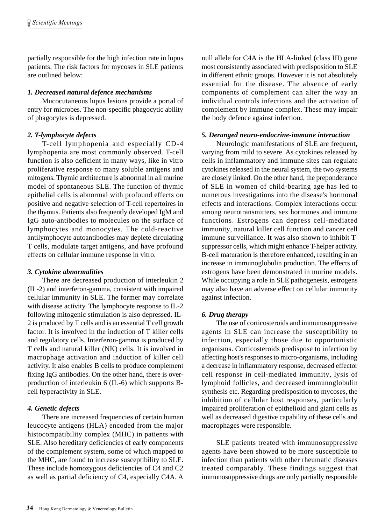partially responsible for the high infection rate in lupus patients. The risk factors for mycoses in SLE patients are outlined below:

#### *1. Decreased natural defence mechanisms*

Mucocutaneous lupus lesions provide a portal of entry for microbes. The non-specific phagocytic ability of phagocytes is depressed.

#### *2. T-lymphocyte defects*

T-cell lymphopenia and especially CD-4 lymphopenia are most commonly observed. T-cell function is also deficient in many ways, like in vitro proliferative response to many soluble antigens and mitogens. Thymic architecture is abnormal in all murine model of spontaneous SLE. The function of thymic epithelial cells is abnormal with profound effects on positive and negative selection of T-cell repertoires in the thymus. Patients also frequently developed IgM and IgG auto-antibodies to molecules on the surface of lymphocytes and monocytes. The cold-reactive antilymphocyte autoantibodies may deplete circulating T cells, modulate target antigens, and have profound effects on cellular immune response in vitro.

#### *3. Cytokine abnormalities*

There are decreased production of interleukin 2 (IL-2) and interferon-gamma, consistent with impaired cellular immunity in SLE. The former may correlate with disease activity. The lymphocyte response to IL-2 following mitogenic stimulation is also depressed. IL-2 is produced by T cells and is an essential T cell growth factor. It is involved in the induction of T killer cells and regulatory cells. Interferon-gamma is produced by T cells and natural killer (NK) cells. It is involved in macrophage activation and induction of killer cell activity. It also enables B cells to produce complement fixing IgG antibodies. On the other hand, there is overproduction of interleukin 6 (IL-6) which supports Bcell hyperactivity in SLE.

#### *4. Genetic defects*

There are increased frequencies of certain human leucocyte antigens (HLA) encoded from the major histocompatibility complex (MHC) in patients with SLE. Also hereditary deficiencies of early components of the complement system, some of which mapped to the MHC, are found to increase susceptibility to SLE. These include homozygous deficiencies of C4 and C2 as well as partial deficiency of C4, especially C4A. A null allele for C4A is the HLA-linked (class III) gene most consistently associated with predisposition to SLE in different ethnic groups. However it is not absolutely essential for the disease. The absence of early components of complement can alter the way an individual controls infections and the activation of complement by immune complex. These may impair the body defence against infection.

#### *5. Deranged neuro-endocrine-immune interaction*

Neurologic manifestations of SLE are frequent, varying from mild to severe. As cytokines released by cells in inflammatory and immune sites can regulate cytokines released in the neural system, the two systems are closely linked. On the other hand, the preponderance of SLE in women of child-bearing age has led to numerous investigations into the disease's hormonal effects and interactions. Complex interactions occur among neurotransmitters, sex hormones and immune functions. Estrogens can depress cell-mediated immunity, natural killer cell function and cancer cell immune surveillance. It was also shown to inhibit Tsuppressor cells, which might enhance T-helper activity. B-cell maturation is therefore enhanced, resulting in an increase in immunoglobulin production. The effects of estrogens have been demonstrated in murine models. While occupying a role in SLE pathogenesis, estrogens may also have an adverse effect on cellular immunity against infection.

#### *6. Drug therapy*

The use of corticosteroids and immunosuppressive agents in SLE can increase the susceptibility to infection, especially those due to opportunistic organisms. Corticosteroids predispose to infection by affecting host's responses to micro-organisms, including a decrease in inflammatory response, decreased effector cell response in cell-mediated immunity, lysis of lymphoid follicles, and decreased immunoglobulin synthesis etc. Regarding predisposition to mycoses, the inhibition of cellular host responses, particularly impaired proliferation of epithelioid and giant cells as well as decreased digestive capability of these cells and macrophages were responsible.

SLE patients treated with immunosuppressive agents have been showed to be more susceptible to infection than patients with other rheumatic diseases treated comparably. These findings suggest that immunosuppressive drugs are only partially responsible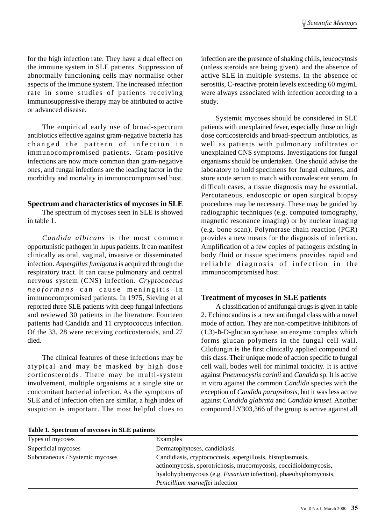for the high infection rate. They have a dual effect on the immune system in SLE patients. Suppression of abnormally functioning cells may normalise other aspects of the immune system. The increased infection rate in some studies of patients receiving immunosuppressive therapy may be attributed to active or advanced disease.

The empirical early use of broad-spectrum antibiotics effective against gram-negative bacteria has changed the pattern of infection in immunocompromised patients. Gram-positive infections are now more common than gram-negative ones, and fungal infections are the leading factor in the morbidity and mortality in immunocompromised host.

#### **Spectrum and characteristics of mycoses in SLE**

The spectrum of mycoses seen in SLE is showed in table 1.

*Candida albicans* is the most common opportunistic pathogen in lupus patients. It can manifest clinically as oral, vaginal, invasive or disseminated infection. *Aspergillus fumigatus* is acquired through the respiratory tract. It can cause pulmonary and central nervous system (CNS) infection. *Cryptococcus neoformans* can cause meningitis in immunocompromised patients. In 1975, Sieving et al reported three SLE patients with deep fungal infections and reviewed 30 patients in the literature. Fourteen patients had Candida and 11 cryptococcus infection. Of the 33, 28 were receiving corticosteroids, and 27 died.

The clinical features of these infections may be atypical and may be masked by high dose corticosteroids. There may be multi-system involvement, multiple organisms at a single site or concomitant bacterial infection. As the symptoms of SLE and of infection often are similar, a high index of suspicion is important. The most helpful clues to infection are the presence of shaking chills, leucocytosis (unless steroids are being given), and the absence of active SLE in multiple systems. In the absence of serositis, C-reactive protein levels exceeding 60 mg/mL were always associated with infection according to a study.

Systemic mycoses should be considered in SLE patients with unexplained fever, especially those on high dose corticosteroids and broad-spectrum antibiotics, as well as patients with pulmonary infiltrates or unexplained CNS symptoms. Investigations for fungal organisms should be undertaken. One should advise the laboratory to hold specimens for fungal cultures, and store acute serum to match with convalescent serum. In difficult cases, a tissue diagnosis may be essential. Percutaneous, endoscopic or open surgical biopsy procedures may be necessary. These may be guided by radiographic techniques (e.g. computed tomography, magnetic resonance imaging) or by nuclear imaging (e.g. bone scan). Polymerase chain reaction (PCR) provides a new means for the diagnosis of infection. Amplification of a few copies of pathogens existing in body fluid or tissue specimens provides rapid and reliable diagnosis of infection in the immunocompromised host.

#### **Treatment of mycoses in SLE patients**

A classification of antifungal drugs is given in table 2. Echinocandins is a new antifungal class with a novel mode of action. They are non-competitive inhibitors of (1,3)-b-D-glucan synthase, an enzyme complex which forms glucan polymers in the fungal cell wall. Cilofungin is the first clinically applied compound of this class. Their unique mode of action specific to fungal cell wall, bodes well for minimal toxicity. It is active against *Pneumocystis carinii* and *Candida* sp. It is active in vitro against the common *Candida* species with the exception of *Candida parapsilosis*, but it was less active against *Candida glabrata* and *Candida krusei*. Another compound LY303,366 of the group is active against all

|  |  | Table 1. Spectrum of mycoses in SLE patients |  |  |
|--|--|----------------------------------------------|--|--|
|--|--|----------------------------------------------|--|--|

| Types of mycoses                | Examples                                                         |
|---------------------------------|------------------------------------------------------------------|
| Superficial mycoses             | Dermatophytoses, candidiasis                                     |
| Subcutaneous / Systemic mycoses | Candidiasis, cryptococcosis, aspergillosis, histoplasmosis,      |
|                                 | actinomycosis, sporotrichosis, mucormycosis, coccidioidomycosis, |
|                                 | hyalohyphomycosis (e.g. Fusarium infection), phaeohyphomycosis,  |
|                                 | Penicillium marneffei infection                                  |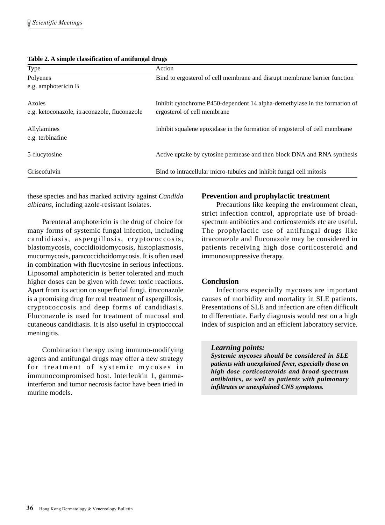| Type                                                   | Action                                                                                                    |
|--------------------------------------------------------|-----------------------------------------------------------------------------------------------------------|
| Polyenes                                               | Bind to ergosterol of cell membrane and disrupt membrane barrier function                                 |
| e.g. amphotericin B                                    |                                                                                                           |
| Azoles<br>e.g. ketoconazole, itraconazole, fluconazole | Inhibit cytochrome P450-dependent 14 alpha-demethylase in the formation of<br>ergosterol of cell membrane |
| Allylamines<br>e.g. terbinafine                        | Inhibit squalene epoxidase in the formation of ergosterol of cell membrane                                |
| 5-flucytosine                                          | Active uptake by cytosine permease and then block DNA and RNA synthesis                                   |
| Griseofulvin                                           | Bind to intracellular micro-tubules and inhibit fungal cell mitosis                                       |

#### **Table 2. A simple classification of antifungal drugs**

these species and has marked activity against *Candida albicans*, including azole-resistant isolates.

Parenteral amphotericin is the drug of choice for many forms of systemic fungal infection, including candidiasis, aspergillosis, cryptococcosis, blastomycosis, coccidioidomycosis, histoplasmosis, mucormycosis, paracoccidioidomycosis. It is often used in combination with flucytosine in serious infections. Liposomal amphotericin is better tolerated and much higher doses can be given with fewer toxic reactions. Apart from its action on superficial fungi, itraconazole is a promising drug for oral treatment of aspergillosis, cryptococcosis and deep forms of candidiasis. Fluconazole is used for treatment of mucosal and cutaneous candidiasis. It is also useful in cryptococcal meningitis.

Combination therapy using immuno-modifying agents and antifungal drugs may offer a new strategy for treatment of systemic mycoses in immunocompromised host. Interleukin 1, gammainterferon and tumor necrosis factor have been tried in murine models.

#### **Prevention and prophylactic treatment**

Precautions like keeping the environment clean, strict infection control, appropriate use of broadspectrum antibiotics and corticosteroids etc are useful. The prophylactic use of antifungal drugs like itraconazole and fluconazole may be considered in patients receiving high dose corticosteroid and immunosuppressive therapy.

#### **Conclusion**

Infections especially mycoses are important causes of morbidity and mortality in SLE patients. Presentations of SLE and infection are often difficult to differentiate. Early diagnosis would rest on a high index of suspicion and an efficient laboratory service.

#### *Learning points:*

*Systemic mycoses should be considered in SLE patients with unexplained fever, especially those on high dose corticosteroids and broad-spectrum antibiotics, as well as patients with pulmonary infiltrates or unexplained CNS symptoms.*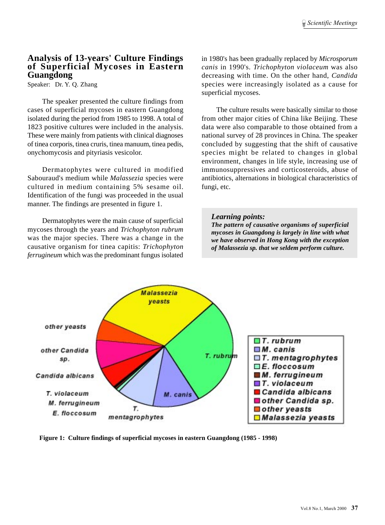#### **Analysis of 13-years' Culture Findings of Superficial Mycoses in Eastern Guangdong**

Speaker: Dr. Y. Q. Zhang

The speaker presented the culture findings from cases of superficial mycoses in eastern Guangdong isolated during the period from 1985 to 1998. A total of 1823 positive cultures were included in the analysis. These were mainly from patients with clinical diagnoses of tinea corporis, tinea cruris, tinea manuum, tinea pedis, onychomycosis and pityriasis vesicolor.

Dermatophytes were cultured in modified Sabouraud's medium while *Malassezia* species were cultured in medium containing 5% sesame oil. Identification of the fungi was proceeded in the usual manner. The findings are presented in figure 1.

Dermatophytes were the main cause of superficial mycoses through the years and *Trichophyton rubrum* was the major species. There was a change in the causative organism for tinea capitis: *Trichophyton ferrugineum* which was the predominant fungus isolated in 1980's has been gradually replaced by *Microsporum canis* in 1990's. *Trichophyton violaceum* was also decreasing with time. On the other hand, *Candida* species were increasingly isolated as a cause for superficial mycoses.

The culture results were basically similar to those from other major cities of China like Beijing. These data were also comparable to those obtained from a national survey of 28 provinces in China. The speaker concluded by suggesting that the shift of causative species might be related to changes in global environment, changes in life style, increasing use of immunosuppressives and corticosteroids, abuse of antibiotics, alternations in biological characteristics of fungi, etc.

#### *Learning points:*

*The pattern of causative organisms of superficial mycoses in Guangdong is largely in line with what we have observed in Hong Kong with the exception of Malassezia sp. that we seldem perform culture.*



**Figure 1: Culture findings of superficial mycoses in eastern Guangdong (1985 - 1998)**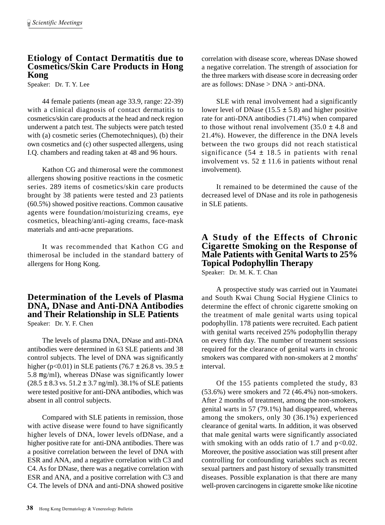# **Etiology of Contact Dermatitis due to Cosmetics/Skin Care Products in Hong Kong**

Speaker: Dr. T. Y. Lee

44 female patients (mean age 33.9, range: 22-39) with a clinical diagnosis of contact dermatitis to cosmetics/skin care products at the head and neck region underwent a patch test. The subjects were patch tested with (a) cosmetic series (Chemotechniques), (b) their own cosmetics and (c) other suspected allergens, using I.Q. chambers and reading taken at 48 and 96 hours.

Kathon CG and thimerosal were the commonest allergens showing positive reactions in the cosmetic series. 289 items of cosmetics/skin care products brought by 38 patients were tested and 23 patients (60.5%) showed positive reactions. Common causative agents were foundation/moisturizing creams, eye cosmetics, bleaching/anti-aging creams, face-mask materials and anti-acne preparations.

It was recommended that Kathon CG and thimerosal be included in the standard battery of allergens for Hong Kong.

#### **Determination of the Levels of Plasma DNA, DNase and Anti-DNA Antibodies and Their Relationship in SLE Patients** Speaker: Dr. Y. F. Chen

The levels of plasma DNA, DNase and anti-DNA antibodies were determined in 63 SLE patients and 38 control subjects. The level of DNA was significantly higher (p<0.01) in SLE patients (76.7  $\pm$  26.8 vs. 39.5  $\pm$ 5.8 mg/ml), whereas DNase was significantly lower  $(28.5 \pm 8.3 \text{ vs. } 51.2 \pm 3.7 \text{ ng/ml})$ . 38.1% of SLE patients were tested positive for anti-DNA antibodies, which was absent in all control subjects.

Compared with SLE patients in remission, those with active disease were found to have significantly higher levels of DNA, lower levels ofDNase, and a higher positive rate for anti-DNA antibodies. There was a positive correlation between the level of DNA with ESR and ANA, and a negative correlation with C3 and C4. As for DNase, there was a negative correlation with ESR and ANA, and a positive correlation with C3 and C4. The levels of DNA and anti-DNA showed positive

correlation with disease score, whereas DNase showed a negative correlation. The strength of association for the three markers with disease score in decreasing order are as follows: DNase > DNA > anti-DNA.

SLE with renal involvement had a significantly lower level of DNase (15.5  $\pm$  5.8) and higher positive rate for anti-DNA antibodies (71.4%) when compared to those without renal involvement  $(35.0 \pm 4.8 \text{ and}$ 21.4%). However, the difference in the DNA levels between the two groups did not reach statistical significance  $(54 \pm 18.5)$  in patients with renal involvement vs.  $52 \pm 11.6$  in patients without renal involvement).

It remained to be determined the cause of the decreased level of DNase and its role in pathogenesis in SLE patients.

# **A Study of the Effects of Chronic Cigarette Smoking on the Response of Male Patients with Genital Warts to 25% Topical Podophyllin Therapy**

Speaker: Dr. M. K. T. Chan

A prospective study was carried out in Yaumatei and South Kwai Chung Social Hygiene Clinics to determine the effect of chronic cigarette smoking on the treatment of male genital warts using topical podophyllin. 178 patients were recruited. Each patient with genital warts received 25% podophyllin therapy on every fifth day. The number of treatment sessions required for the clearance of genital warts in chronic smokers was compared with non-smokers at 2 months' interval.

Of the 155 patients completed the study, 83 (53.6%) were smokers and 72 (46.4%) non-smokers. After 2 months of treatment, among the non-smokers, genital warts in 57 (79.1%) had disappeared, whereas among the smokers, only 30 (36.1%) experienced clearance of genital warts. In addition, it was observed that male genital warts were significantly associated with smoking with an odds ratio of  $1.7$  and  $p<0.02$ . Moreover, the positive association was still present after controlling for confounding variables such as recent sexual partners and past history of sexually transmitted diseases. Possible explanation is that there are many well-proven carcinogens in cigarette smoke like nicotine